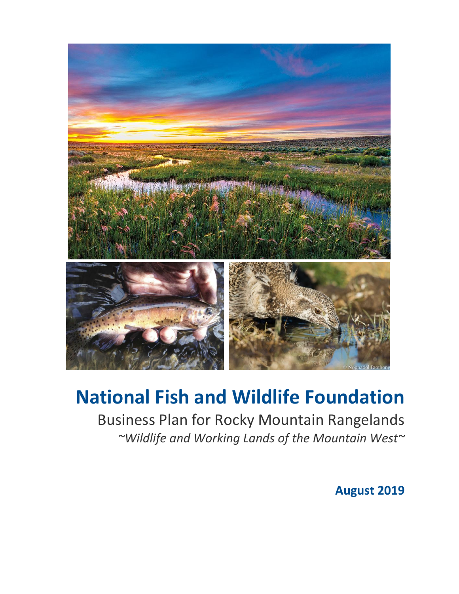

# **National Fish and Wildlife Foundation**

Business Plan for Rocky Mountain Rangelands *~Wildlife and Working Lands of the Mountain West~*

**August 2019**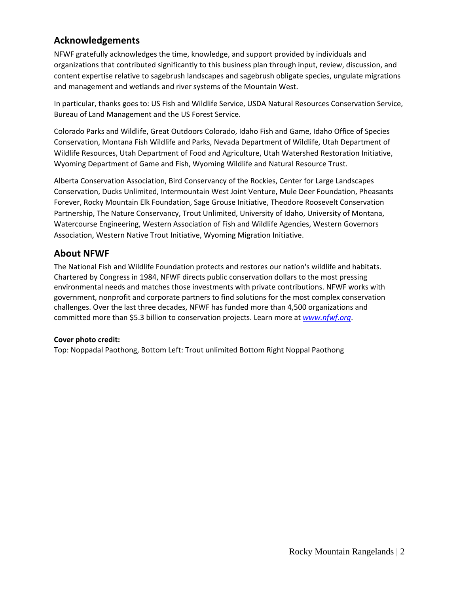### **Acknowledgements**

NFWF gratefully acknowledges the time, knowledge, and support provided by individuals and organizations that contributed significantly to this business plan through input, review, discussion, and content expertise relative to sagebrush landscapes and sagebrush obligate species, ungulate migrations and management and wetlands and river systems of the Mountain West.

In particular, thanks goes to: US Fish and Wildlife Service, USDA Natural Resources Conservation Service, Bureau of Land Management and the US Forest Service.

Colorado Parks and Wildlife, Great Outdoors Colorado, Idaho Fish and Game, Idaho Office of Species Conservation, Montana Fish Wildlife and Parks, Nevada Department of Wildlife, Utah Department of Wildlife Resources, Utah Department of Food and Agriculture, Utah Watershed Restoration Initiative, Wyoming Department of Game and Fish, Wyoming Wildlife and Natural Resource Trust.

Alberta Conservation Association, Bird Conservancy of the Rockies, Center for Large Landscapes Conservation, Ducks Unlimited, Intermountain West Joint Venture, Mule Deer Foundation, Pheasants Forever, Rocky Mountain Elk Foundation, Sage Grouse Initiative, Theodore Roosevelt Conservation Partnership, The Nature Conservancy, Trout Unlimited, University of Idaho, University of Montana, Watercourse Engineering, Western Association of Fish and Wildlife Agencies, Western Governors Association, Western Native Trout Initiative, Wyoming Migration Initiative.

### **About NFWF**

The National Fish and Wildlife Foundation protects and restores our nation's wildlife and habitats. Chartered by Congress in 1984, NFWF directs public conservation dollars to the most pressing environmental needs and matches those investments with private contributions. NFWF works with government, nonprofit and corporate partners to find solutions for the most complex conservation challenges. Over the last three decades, NFWF has funded more than 4,500 organizations and committed more than \$5.3 billion to conservation projects. Learn more at *[www.nfwf.org](http://www.globenewswire.com/newsroom/ctr?d=10138235&l=2&a=www.nfwf.org&u=http%3A%2F%2Fwww.nfwf.org%2F)*.

### **Cover photo credit:**

Top: Noppadal Paothong, Bottom Left: Trout unlimited Bottom Right Noppal Paothong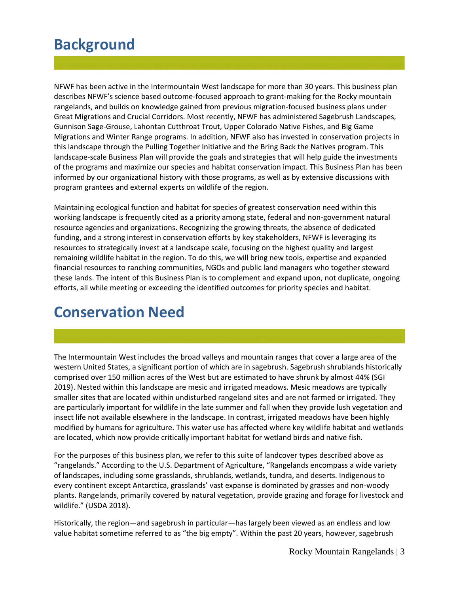### **Background**

NFWF has been active in the Intermountain West landscape for more than 30 years. This business plan describes NFWF's science based outcome-focused approach to grant-making for the Rocky mountain rangelands, and builds on knowledge gained from previous migration-focused business plans under Great Migrations and Crucial Corridors. Most recently, NFWF has administered Sagebrush Landscapes, Gunnison Sage-Grouse, Lahontan Cutthroat Trout, Upper Colorado Native Fishes, and Big Game Migrations and Winter Range programs. In addition, NFWF also has invested in conservation projects in this landscape through the Pulling Together Initiative and the Bring Back the Natives program. This landscape-scale Business Plan will provide the goals and strategies that will help guide the investments of the programs and maximize our species and habitat conservation impact. This Business Plan has been informed by our organizational history with those programs, as well as by extensive discussions with program grantees and external experts on wildlife of the region.

Maintaining ecological function and habitat for species of greatest conservation need within this working landscape is frequently cited as a priority among state, federal and non-government natural resource agencies and organizations. Recognizing the growing threats, the absence of dedicated funding, and a strong interest in conservation efforts by key stakeholders, NFWF is leveraging its resources to strategically invest at a landscape scale, focusing on the highest quality and largest remaining wildlife habitat in the region. To do this, we will bring new tools, expertise and expanded financial resources to ranching communities, NGOs and public land managers who together steward these lands. The intent of this Business Plan is to complement and expand upon, not duplicate, ongoing efforts, all while meeting or exceeding the identified outcomes for priority species and habitat.

### **Conservation Need**

The Intermountain West includes the broad valleys and mountain ranges that cover a large area of the western United States, a significant portion of which are in sagebrush. Sagebrush shrublands historically comprised over 150 million acres of the West but are estimated to have shrunk by almost 44% (SGI 2019). Nested within this landscape are mesic and irrigated meadows. Mesic meadows are typically smaller sites that are located within undisturbed rangeland sites and are not farmed or irrigated. They are particularly important for wildlife in the late summer and fall when they provide lush vegetation and insect life not available elsewhere in the landscape. In contrast, irrigated meadows have been highly modified by humans for agriculture. This water use has affected where key wildlife habitat and wetlands are located, which now provide critically important habitat for wetland birds and native fish.

For the purposes of this business plan, we refer to this suite of landcover types described above as "rangelands." According to the U.S. Department of Agriculture, "Rangelands encompass a wide variety of landscapes, including some grasslands, shrublands, wetlands, tundra, and deserts. Indigenous to every continent except Antarctica, grasslands' vast expanse is dominated by grasses and non-woody plants. Rangelands, primarily covered by natural vegetation, provide grazing and forage for livestock and wildlife." (USDA 2018).

Historically, the region—and sagebrush in particular—has largely been viewed as an endless and low value habitat sometime referred to as "the big empty". Within the past 20 years, however, sagebrush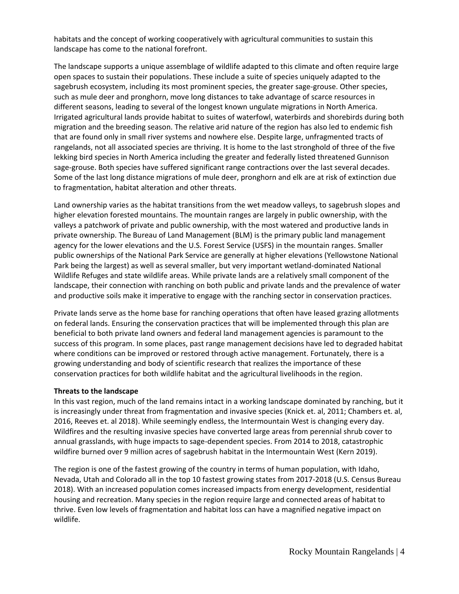habitats and the concept of working cooperatively with agricultural communities to sustain this landscape has come to the national forefront.

The landscape supports a unique assemblage of wildlife adapted to this climate and often require large open spaces to sustain their populations. These include a suite of species uniquely adapted to the sagebrush ecosystem, including its most prominent species, the greater sage-grouse. Other species, such as mule deer and pronghorn, move long distances to take advantage of scarce resources in different seasons, leading to several of the longest known ungulate migrations in North America. Irrigated agricultural lands provide habitat to suites of waterfowl, waterbirds and shorebirds during both migration and the breeding season. The relative arid nature of the region has also led to endemic fish that are found only in small river systems and nowhere else. Despite large, unfragmented tracts of rangelands, not all associated species are thriving. It is home to the last stronghold of three of the five lekking bird species in North America including the greater and federally listed threatened Gunnison sage-grouse. Both species have suffered significant range contractions over the last several decades. Some of the last long distance migrations of mule deer, pronghorn and elk are at risk of extinction due to fragmentation, habitat alteration and other threats.

Land ownership varies as the habitat transitions from the wet meadow valleys, to sagebrush slopes and higher elevation forested mountains. The mountain ranges are largely in public ownership, with the valleys a patchwork of private and public ownership, with the most watered and productive lands in private ownership. The Bureau of Land Management (BLM) is the primary public land management agency for the lower elevations and the U.S. Forest Service (USFS) in the mountain ranges. Smaller public ownerships of the National Park Service are generally at higher elevations (Yellowstone National Park being the largest) as well as several smaller, but very important wetland-dominated National Wildlife Refuges and state wildlife areas. While private lands are a relatively small component of the landscape, their connection with ranching on both public and private lands and the prevalence of water and productive soils make it imperative to engage with the ranching sector in conservation practices.

Private lands serve as the home base for ranching operations that often have leased grazing allotments on federal lands. Ensuring the conservation practices that will be implemented through this plan are beneficial to both private land owners and federal land management agencies is paramount to the success of this program. In some places, past range management decisions have led to degraded habitat where conditions can be improved or restored through active management. Fortunately, there is a growing understanding and body of scientific research that realizes the importance of these conservation practices for both wildlife habitat and the agricultural livelihoods in the region.

#### **Threats to the landscape**

In this vast region, much of the land remains intact in a working landscape dominated by ranching, but it is increasingly under threat from fragmentation and invasive species (Knick et. al, 2011; Chambers et. al, 2016, Reeves et. al 2018). While seemingly endless, the Intermountain West is changing every day. Wildfires and the resulting invasive species have converted large areas from perennial shrub cover to annual grasslands, with huge impacts to sage-dependent species. From 2014 to 2018, catastrophic wildfire burned over 9 million acres of sagebrush habitat in the Intermountain West (Kern 2019).

The region is one of the fastest growing of the country in terms of human population, with Idaho, Nevada, Utah and Colorado all in the top 10 fastest growing states from 2017-2018 (U.S. Census Bureau 2018). With an increased population comes increased impacts from energy development, residential housing and recreation. Many species in the region require large and connected areas of habitat to thrive. Even low levels of fragmentation and habitat loss can have a magnified negative impact on wildlife.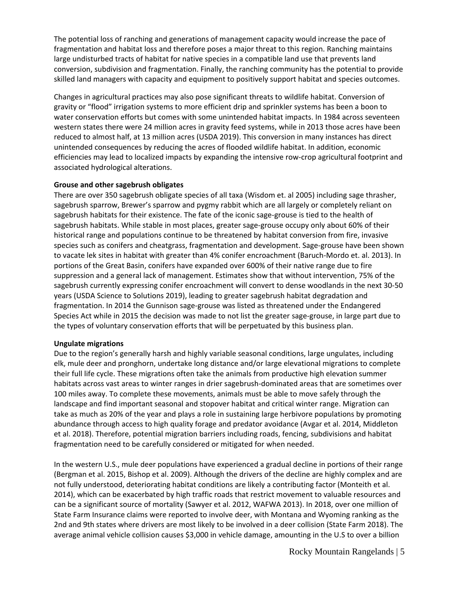The potential loss of ranching and generations of management capacity would increase the pace of fragmentation and habitat loss and therefore poses a major threat to this region. Ranching maintains large undisturbed tracts of habitat for native species in a compatible land use that prevents land conversion, subdivision and fragmentation. Finally, the ranching community has the potential to provide skilled land managers with capacity and equipment to positively support habitat and species outcomes.

Changes in agricultural practices may also pose significant threats to wildlife habitat. Conversion of gravity or "flood" irrigation systems to more efficient drip and sprinkler systems has been a boon to water conservation efforts but comes with some unintended habitat impacts. In 1984 across seventeen western states there were 24 million acres in gravity feed systems, while in 2013 those acres have been reduced to almost half, at 13 million acres (USDA 2019). This conversion in many instances has direct unintended consequences by reducing the acres of flooded wildlife habitat. In addition, economic efficiencies may lead to localized impacts by expanding the intensive row-crop agricultural footprint and associated hydrological alterations.

#### **Grouse and other sagebrush obligates**

There are over 350 sagebrush obligate species of all taxa (Wisdom et. al 2005) including sage thrasher, sagebrush sparrow, Brewer's sparrow and pygmy rabbit which are all largely or completely reliant on sagebrush habitats for their existence. The fate of the iconic sage-grouse is tied to the health of sagebrush habitats. While stable in most places, greater sage-grouse occupy only about 60% of their historical range and populations continue to be threatened by habitat conversion from fire, invasive species such as conifers and cheatgrass, fragmentation and development. Sage-grouse have been shown to vacate lek sites in habitat with greater than 4% conifer encroachment (Baruch-Mordo et. al. 2013). In portions of the Great Basin, conifers have expanded over 600% of their native range due to fire suppression and a general lack of management. Estimates show that without intervention, 75% of the sagebrush currently expressing conifer encroachment will convert to dense woodlands in the next 30-50 years (USDA Science to Solutions 2019), leading to greater sagebrush habitat degradation and fragmentation. In 2014 the Gunnison sage-grouse was listed as threatened under the Endangered Species Act while in 2015 the decision was made to not list the greater sage-grouse, in large part due to the types of voluntary conservation efforts that will be perpetuated by this business plan.

#### **Ungulate migrations**

Due to the region's generally harsh and highly variable seasonal conditions, large ungulates, including elk, mule deer and pronghorn, undertake long distance and/or large elevational migrations to complete their full life cycle. These migrations often take the animals from productive high elevation summer habitats across vast areas to winter ranges in drier sagebrush-dominated areas that are sometimes over 100 miles away. To complete these movements, animals must be able to move safely through the landscape and find important seasonal and stopover habitat and critical winter range. Migration can take as much as 20% of the year and plays a role in sustaining large herbivore populations by promoting abundance through access to high quality forage and predator avoidance (Avgar et al. 2014, Middleton et al. 2018). Therefore, potential migration barriers including roads, fencing, subdivisions and habitat fragmentation need to be carefully considered or mitigated for when needed.

In the western U.S., mule deer populations have experienced a gradual decline in portions of their range (Bergman et al. 2015, Bishop et al. 2009). Although the drivers of the decline are highly complex and are not fully understood, deteriorating habitat conditions are likely a contributing factor (Monteith et al. 2014), which can be exacerbated by high traffic roads that restrict movement to valuable resources and can be a significant source of mortality (Sawyer et al. 2012, WAFWA 2013). In 2018, over one million of State Farm Insurance claims were reported to involve deer, with Montana and Wyoming ranking as the 2nd and 9th states where drivers are most likely to be involved in a deer collision (State Farm 2018). The average animal vehicle collision causes \$3,000 in vehicle damage, amounting in the U.S to over a billion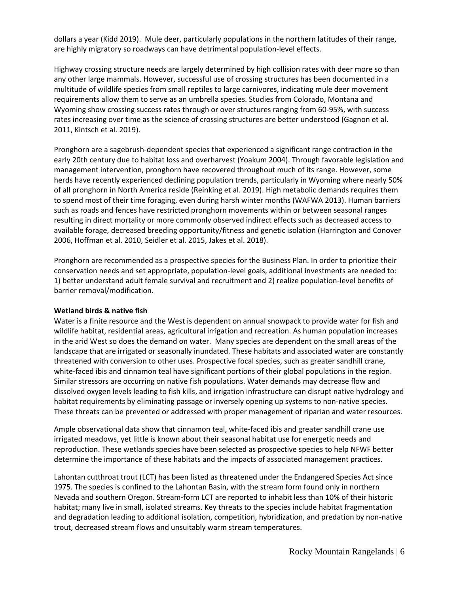dollars a year (Kidd 2019). Mule deer, particularly populations in the northern latitudes of their range, are highly migratory so roadways can have detrimental population-level effects.

Highway crossing structure needs are largely determined by high collision rates with deer more so than any other large mammals. However, successful use of crossing structures has been documented in a multitude of wildlife species from small reptiles to large carnivores, indicating mule deer movement requirements allow them to serve as an umbrella species. Studies from Colorado, Montana and Wyoming show crossing success rates through or over structures ranging from 60-95%, with success rates increasing over time as the science of crossing structures are better understood (Gagnon et al. 2011, Kintsch et al. 2019).

Pronghorn are a sagebrush-dependent species that experienced a significant range contraction in the early 20th century due to habitat loss and overharvest (Yoakum 2004). Through favorable legislation and management intervention, pronghorn have recovered throughout much of its range. However, some herds have recently experienced declining population trends, particularly in Wyoming where nearly 50% of all pronghorn in North America reside (Reinking et al. 2019). High metabolic demands requires them to spend most of their time foraging, even during harsh winter months (WAFWA 2013). Human barriers such as roads and fences have restricted pronghorn movements within or between seasonal ranges resulting in direct mortality or more commonly observed indirect effects such as decreased access to available forage, decreased breeding opportunity/fitness and genetic isolation (Harrington and Conover 2006, Hoffman et al. 2010, Seidler et al. 2015, Jakes et al. 2018).

Pronghorn are recommended as a prospective species for the Business Plan. In order to prioritize their conservation needs and set appropriate, population-level goals, additional investments are needed to: 1) better understand adult female survival and recruitment and 2) realize population-level benefits of barrier removal/modification.

#### **Wetland birds & native fish**

Water is a finite resource and the West is dependent on annual snowpack to provide water for fish and wildlife habitat, residential areas, agricultural irrigation and recreation. As human population increases in the arid West so does the demand on water. Many species are dependent on the small areas of the landscape that are irrigated or seasonally inundated. These habitats and associated water are constantly threatened with conversion to other uses. Prospective focal species, such as greater sandhill crane, white-faced ibis and cinnamon teal have significant portions of their global populations in the region. Similar stressors are occurring on native fish populations. Water demands may decrease flow and dissolved oxygen levels leading to fish kills, and irrigation infrastructure can disrupt native hydrology and habitat requirements by eliminating passage or inversely opening up systems to non-native species. These threats can be prevented or addressed with proper management of riparian and water resources.

Ample observational data show that cinnamon teal, white-faced ibis and greater sandhill crane use irrigated meadows, yet little is known about their seasonal habitat use for energetic needs and reproduction. These wetlands species have been selected as prospective species to help NFWF better determine the importance of these habitats and the impacts of associated management practices.

Lahontan cutthroat trout (LCT) has been listed as threatened under the Endangered Species Act since 1975. The species is confined to the Lahontan Basin, with the stream form found only in northern Nevada and southern Oregon. Stream-form LCT are reported to inhabit less than 10% of their historic habitat; many live in small, isolated streams. Key threats to the species include habitat fragmentation and degradation leading to additional isolation, competition, hybridization, and predation by non-native trout, decreased stream flows and unsuitably warm stream temperatures.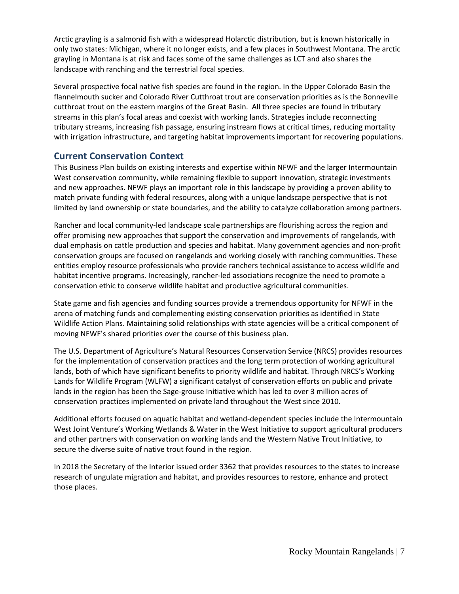Arctic grayling is a salmonid fish with a widespread Holarctic distribution, but is known historically in only two states: Michigan, where it no longer exists, and a few places in Southwest Montana. The arctic grayling in Montana is at risk and faces some of the same challenges as LCT and also shares the landscape with ranching and the terrestrial focal species.

Several prospective focal native fish species are found in the region. In the Upper Colorado Basin the flannelmouth sucker and Colorado River Cutthroat trout are conservation priorities as is the Bonneville cutthroat trout on the eastern margins of the Great Basin. All three species are found in tributary streams in this plan's focal areas and coexist with working lands. Strategies include reconnecting tributary streams, increasing fish passage, ensuring instream flows at critical times, reducing mortality with irrigation infrastructure, and targeting habitat improvements important for recovering populations.

### **Current Conservation Context**

This Business Plan builds on existing interests and expertise within NFWF and the larger Intermountain West conservation community, while remaining flexible to support innovation, strategic investments and new approaches. NFWF plays an important role in this landscape by providing a proven ability to match private funding with federal resources, along with a unique landscape perspective that is not limited by land ownership or state boundaries, and the ability to catalyze collaboration among partners.

Rancher and local community-led landscape scale partnerships are flourishing across the region and offer promising new approaches that support the conservation and improvements of rangelands, with dual emphasis on cattle production and species and habitat. Many government agencies and non-profit conservation groups are focused on rangelands and working closely with ranching communities. These entities employ resource professionals who provide ranchers technical assistance to access wildlife and habitat incentive programs. Increasingly, rancher-led associations recognize the need to promote a conservation ethic to conserve wildlife habitat and productive agricultural communities.

State game and fish agencies and funding sources provide a tremendous opportunity for NFWF in the arena of matching funds and complementing existing conservation priorities as identified in State Wildlife Action Plans. Maintaining solid relationships with state agencies will be a critical component of moving NFWF's shared priorities over the course of this business plan.

The U.S. Department of Agriculture's Natural Resources Conservation Service (NRCS) provides resources for the implementation of conservation practices and the long term protection of working agricultural lands, both of which have significant benefits to priority wildlife and habitat. Through NRCS's Working Lands for Wildlife Program (WLFW) a significant catalyst of conservation efforts on public and private lands in the region has been the Sage-grouse Initiative which has led to over 3 million acres of conservation practices implemented on private land throughout the West since 2010.

Additional efforts focused on aquatic habitat and wetland-dependent species include the Intermountain West Joint Venture's Working Wetlands & Water in the West Initiative to support agricultural producers and other partners with conservation on working lands and the Western Native Trout Initiative, to secure the diverse suite of native trout found in the region.

In 2018 the Secretary of the Interior issued order 3362 that provides resources to the states to increase research of ungulate migration and habitat, and provides resources to restore, enhance and protect those places.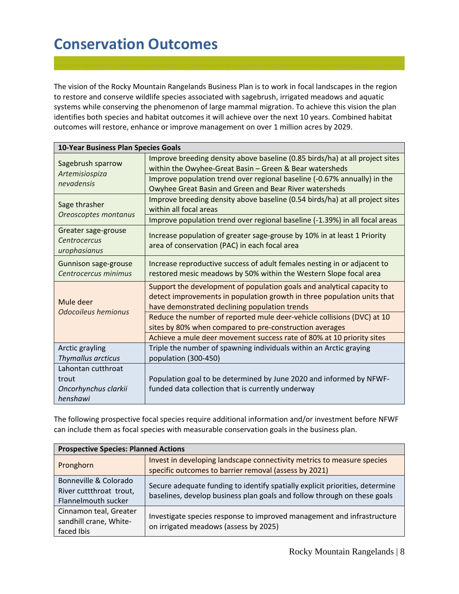# **Conservation Outcomes**

The vision of the Rocky Mountain Rangelands Business Plan is to work in focal landscapes in the region to restore and conserve wildlife species associated with sagebrush, irrigated meadows and aquatic systems while conserving the phenomenon of large mammal migration. To achieve this vision the plan identifies both species and habitat outcomes it will achieve over the next 10 years. Combined habitat outcomes will restore, enhance or improve management on over 1 million acres by 2029.

| 10-Year Business Plan Species Goals                 |                                                                                                                                                                                                    |  |  |
|-----------------------------------------------------|----------------------------------------------------------------------------------------------------------------------------------------------------------------------------------------------------|--|--|
| Sagebrush sparrow                                   | Improve breeding density above baseline (0.85 birds/ha) at all project sites<br>within the Owyhee-Great Basin - Green & Bear watersheds                                                            |  |  |
| Artemisiospiza<br>nevadensis                        | Improve population trend over regional baseline (-0.67% annually) in the<br>Owyhee Great Basin and Green and Bear River watersheds                                                                 |  |  |
| Sage thrasher<br>Oreoscoptes montanus               | Improve breeding density above baseline (0.54 birds/ha) at all project sites<br>within all focal areas                                                                                             |  |  |
|                                                     | Improve population trend over regional baseline (-1.39%) in all focal areas                                                                                                                        |  |  |
| Greater sage-grouse<br>Centrocercus<br>urophasianus | Increase population of greater sage-grouse by 10% in at least 1 Priority<br>area of conservation (PAC) in each focal area                                                                          |  |  |
| Gunnison sage-grouse<br>Centrocercus minimus        | Increase reproductive success of adult females nesting in or adjacent to<br>restored mesic meadows by 50% within the Western Slope focal area                                                      |  |  |
| Mule deer                                           | Support the development of population goals and analytical capacity to<br>detect improvements in population growth in three population units that<br>have demonstrated declining population trends |  |  |
| Odocoileus hemionus                                 | Reduce the number of reported mule deer-vehicle collisions (DVC) at 10<br>sites by 80% when compared to pre-construction averages                                                                  |  |  |
|                                                     | Achieve a mule deer movement success rate of 80% at 10 priority sites                                                                                                                              |  |  |
| Arctic grayling<br>Thymallus arcticus               | Triple the number of spawning individuals within an Arctic graying<br>population (300-450)                                                                                                         |  |  |
| Lahontan cutthroat                                  |                                                                                                                                                                                                    |  |  |
| trout                                               | Population goal to be determined by June 2020 and informed by NFWF-                                                                                                                                |  |  |
| Oncorhynchus clarkii                                | funded data collection that is currently underway                                                                                                                                                  |  |  |
| henshawi                                            |                                                                                                                                                                                                    |  |  |

The following prospective focal species require additional information and/or investment before NFWF can include them as focal species with measurable conservation goals in the business plan.

| <b>Prospective Species: Planned Actions</b>                             |                                                                                                                                                          |  |  |
|-------------------------------------------------------------------------|----------------------------------------------------------------------------------------------------------------------------------------------------------|--|--|
| Pronghorn                                                               | Invest in developing landscape connectivity metrics to measure species<br>specific outcomes to barrier removal (assess by 2021)                          |  |  |
| Bonneville & Colorado<br>River cuttthroat trout,<br>Flannelmouth sucker | Secure adequate funding to identify spatially explicit priorities, determine<br>baselines, develop business plan goals and follow through on these goals |  |  |
| Cinnamon teal, Greater<br>sandhill crane, White-<br>faced Ibis          | Investigate species response to improved management and infrastructure<br>on irrigated meadows (assess by 2025)                                          |  |  |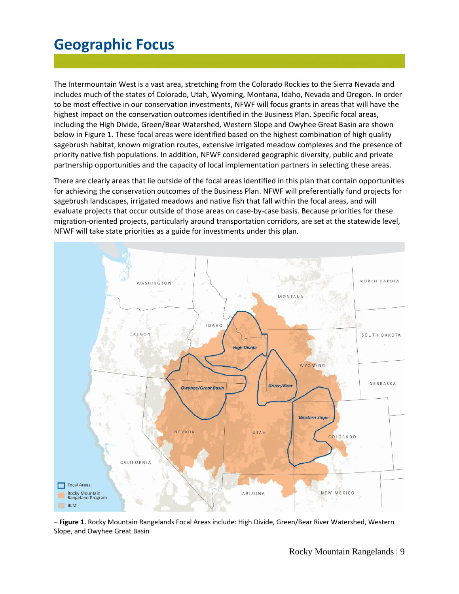# **Geographic Focus**

The Intermountain West is a vast area, stretching from the Colorado Rockies to the Sierra Nevada and includes much of the states of Colorado, Utah, Wyoming, Montana, Idaho, Nevada and Oregon. In order to be most effective in our conservation investments, NFWF will focus grants in areas that will have the highest impact on the conservation outcomes identified in the Business Plan. Specific focal areas, including the High Divide, Green/Bear Watershed, Western Slope and Owyhee Great Basin are shown below in Figure 1. These focal areas were identified based on the highest combination of high quality sagebrush habitat, known migration routes, extensive irrigated meadow complexes and the presence of priority native fish populations. In addition, NFWF considered geographic diversity, public and private partnership opportunities and the capacity of local implementation partners in selecting these areas.

There are clearly areas that lie outside of the focal areas identified in this plan that contain opportunities for achieving the conservation outcomes of the Business Plan. NFWF will preferentially fund projects for sagebrush landscapes, irrigated meadows and native fish that fall within the focal areas, and will evaluate projects that occur outside of those areas on case-by-case basis. Because priorities for these migration-oriented projects, particularly around transportation corridors, are set at the statewide level, NFWF will take state priorities as a guide for investments under this plan.



– **Figure 1.** Rocky Mountain Rangelands Focal Areas include: High Divide, Green/Bear River Watershed, Western Slope, and Owyhee Great Basin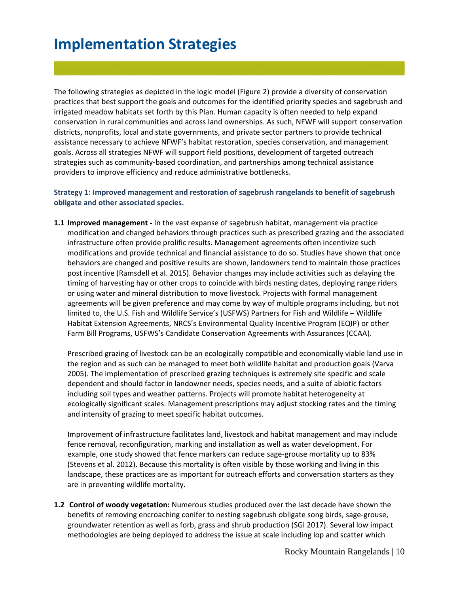### **Implementation Strategies**

The following strategies as depicted in the logic model (Figure 2) provide a diversity of conservation practices that best support the goals and outcomes for the identified priority species and sagebrush and irrigated meadow habitats set forth by this Plan. Human capacity is often needed to help expand conservation in rural communities and across land ownerships. As such, NFWF will support conservation districts, nonprofits, local and state governments, and private sector partners to provide technical assistance necessary to achieve NFWF's habitat restoration, species conservation, and management goals. Across all strategies NFWF will support field positions, development of targeted outreach strategies such as community-based coordination, and partnerships among technical assistance providers to improve efficiency and reduce administrative bottlenecks.

### **Strategy 1: Improved management and restoration of sagebrush rangelands to benefit of sagebrush obligate and other associated species.**

**1.1 Improved management -** In the vast expanse of sagebrush habitat, management via practice modification and changed behaviors through practices such as prescribed grazing and the associated infrastructure often provide prolific results. Management agreements often incentivize such modifications and provide technical and financial assistance to do so. Studies have shown that once behaviors are changed and positive results are shown, landowners tend to maintain those practices post incentive (Ramsdell et al. 2015). Behavior changes may include activities such as delaying the timing of harvesting hay or other crops to coincide with birds nesting dates, deploying range riders or using water and mineral distribution to move livestock. Projects with formal management agreements will be given preference and may come by way of multiple programs including, but not limited to, the U.S. Fish and Wildlife Service's (USFWS) Partners for Fish and Wildlife – Wildlife Habitat Extension Agreements, NRCS's Environmental Quality Incentive Program (EQIP) or other Farm Bill Programs, USFWS's Candidate Conservation Agreements with Assurances (CCAA).

Prescribed grazing of livestock can be an ecologically compatible and economically viable land use in the region and as such can be managed to meet both wildlife habitat and production goals (Varva 2005). The implementation of prescribed grazing techniques is extremely site specific and scale dependent and should factor in landowner needs, species needs, and a suite of abiotic factors including soil types and weather patterns. Projects will promote habitat heterogeneity at ecologically significant scales. Management prescriptions may adjust stocking rates and the timing and intensity of grazing to meet specific habitat outcomes.

Improvement of infrastructure facilitates land, livestock and habitat management and may include fence removal, reconfiguration, marking and installation as well as water development. For example, one study showed that fence markers can reduce sage-grouse mortality up to 83% (Stevens et al. 2012). Because this mortality is often visible by those working and living in this landscape, these practices are as important for outreach efforts and conversation starters as they are in preventing wildlife mortality.

**1.2 Control of woody vegetation:** Numerous studies produced over the last decade have shown the benefits of removing encroaching conifer to nesting sagebrush obligate song birds, sage-grouse, groundwater retention as well as forb, grass and shrub production (SGI 2017). Several low impact methodologies are being deployed to address the issue at scale including lop and scatter which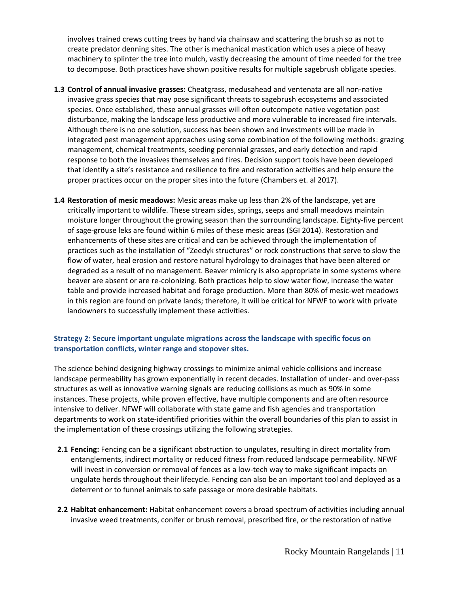involves trained crews cutting trees by hand via chainsaw and scattering the brush so as not to create predator denning sites. The other is mechanical mastication which uses a piece of heavy machinery to splinter the tree into mulch, vastly decreasing the amount of time needed for the tree to decompose. Both practices have shown positive results for multiple sagebrush obligate species.

- **1.3 Control of annual invasive grasses:** Cheatgrass, medusahead and ventenata are all non-native invasive grass species that may pose significant threats to sagebrush ecosystems and associated species. Once established, these annual grasses will often outcompete native vegetation post disturbance, making the landscape less productive and more vulnerable to increased fire intervals. Although there is no one solution, success has been shown and investments will be made in integrated pest management approaches using some combination of the following methods: grazing management, chemical treatments, seeding perennial grasses, and early detection and rapid response to both the invasives themselves and fires. Decision support tools have been developed that identify a site's resistance and resilience to fire and restoration activities and help ensure the proper practices occur on the proper sites into the future (Chambers et. al 2017).
- **1.4 Restoration of mesic meadows:** Mesic areas make up less than 2% of the landscape, yet are critically important to wildlife. These stream sides, springs, seeps and small meadows maintain moisture longer throughout the growing season than the surrounding landscape. Eighty-five percent of sage-grouse leks are found within 6 miles of these mesic areas (SGI 2014). Restoration and enhancements of these sites are critical and can be achieved through the implementation of practices such as the installation of "Zeedyk structures" or rock constructions that serve to slow the flow of water, heal erosion and restore natural hydrology to drainages that have been altered or degraded as a result of no management. Beaver mimicry is also appropriate in some systems where beaver are absent or are re-colonizing. Both practices help to slow water flow, increase the water table and provide increased habitat and forage production. More than 80% of mesic-wet meadows in this region are found on private lands; therefore, it will be critical for NFWF to work with private landowners to successfully implement these activities.

### **Strategy 2: Secure important ungulate migrations across the landscape with specific focus on transportation conflicts, winter range and stopover sites.**

The science behind designing highway crossings to minimize animal vehicle collisions and increase landscape permeability has grown exponentially in recent decades. Installation of under- and over-pass structures as well as innovative warning signals are reducing collisions as much as 90% in some instances. These projects, while proven effective, have multiple components and are often resource intensive to deliver. NFWF will collaborate with state game and fish agencies and transportation departments to work on state-identified priorities within the overall boundaries of this plan to assist in the implementation of these crossings utilizing the following strategies.

- **2.1 Fencing:** Fencing can be a significant obstruction to ungulates, resulting in direct mortality from entanglements, indirect mortality or reduced fitness from reduced landscape permeability. NFWF will invest in conversion or removal of fences as a low-tech way to make significant impacts on ungulate herds throughout their lifecycle. Fencing can also be an important tool and deployed as a deterrent or to funnel animals to safe passage or more desirable habitats.
- **2.2 Habitat enhancement:** Habitat enhancement covers a broad spectrum of activities including annual invasive weed treatments, conifer or brush removal, prescribed fire, or the restoration of native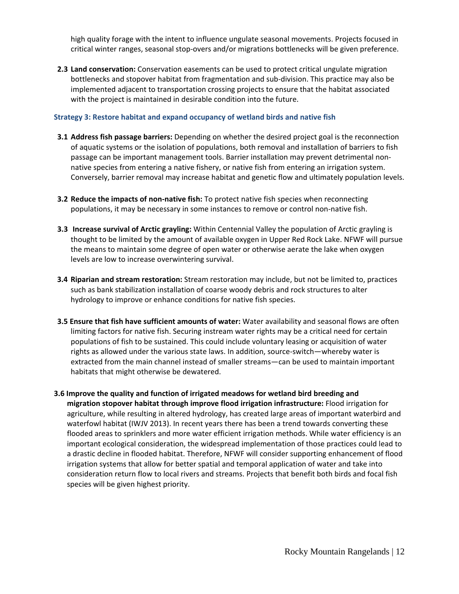high quality forage with the intent to influence ungulate seasonal movements. Projects focused in critical winter ranges, seasonal stop-overs and/or migrations bottlenecks will be given preference.

**2.3 Land conservation:** Conservation easements can be used to protect critical ungulate migration bottlenecks and stopover habitat from fragmentation and sub-division. This practice may also be implemented adjacent to transportation crossing projects to ensure that the habitat associated with the project is maintained in desirable condition into the future.

### **Strategy 3: Restore habitat and expand occupancy of wetland birds and native fish**

- **3.1 Address fish passage barriers:** Depending on whether the desired project goal is the reconnection of aquatic systems or the isolation of populations, both removal and installation of barriers to fish passage can be important management tools. Barrier installation may prevent detrimental nonnative species from entering a native fishery, or native fish from entering an irrigation system. Conversely, barrier removal may increase habitat and genetic flow and ultimately population levels.
- **3.2 Reduce the impacts of non-native fish:** To protect native fish species when reconnecting populations, it may be necessary in some instances to remove or control non-native fish.
- **3.3 Increase survival of Arctic grayling:** Within Centennial Valley the population of Arctic grayling is thought to be limited by the amount of available oxygen in Upper Red Rock Lake. NFWF will pursue the means to maintain some degree of open water or otherwise aerate the lake when oxygen levels are low to increase overwintering survival.
- **3.4 Riparian and stream restoration:** Stream restoration may include, but not be limited to, practices such as bank stabilization installation of coarse woody debris and rock structures to alter hydrology to improve or enhance conditions for native fish species.
- **3.5 Ensure that fish have sufficient amounts of water:** Water availability and seasonal flows are often limiting factors for native fish. Securing instream water rights may be a critical need for certain populations of fish to be sustained. This could include voluntary leasing or acquisition of water rights as allowed under the various state laws. In addition, source-switch—whereby water is extracted from the main channel instead of smaller streams—can be used to maintain important habitats that might otherwise be dewatered.
- **3.6 Improve the quality and function of irrigated meadows for wetland bird breeding and migration stopover habitat through improve flood irrigation infrastructure:** Flood irrigation for agriculture, while resulting in altered hydrology, has created large areas of important waterbird and waterfowl habitat (IWJV 2013). In recent years there has been a trend towards converting these flooded areas to sprinklers and more water efficient irrigation methods. While water efficiency is an important ecological consideration, the widespread implementation of those practices could lead to a drastic decline in flooded habitat. Therefore, NFWF will consider supporting enhancement of flood irrigation systems that allow for better spatial and temporal application of water and take into consideration return flow to local rivers and streams. Projects that benefit both birds and focal fish species will be given highest priority.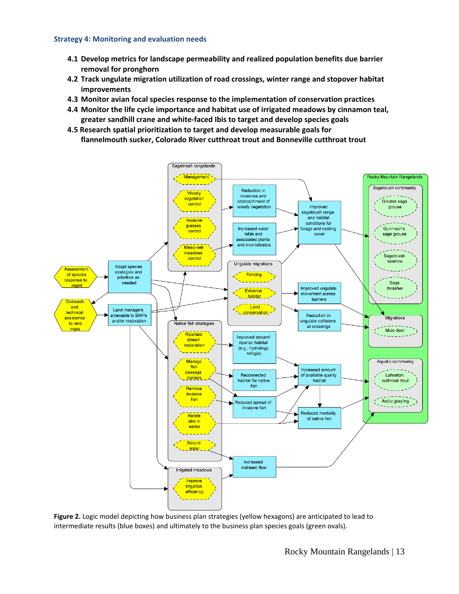#### **Strategy 4: Monitoring and evaluation needs**

- **4.1 Develop metrics for landscape permeability and realized population benefits due barrier removal for pronghorn**
- **4.2 Track ungulate migration utilization of road crossings, winter range and stopover habitat improvements**
- **4.3 Monitor avian focal species response to the implementation of conservation practices**
- **4.4 Monitor the life cycle importance and habitat use of irrigated meadows by cinnamon teal, greater sandhill crane and white-faced Ibis to target and develop species goals**
- **4.5 Research spatial prioritization to target and develop measurable goals for flannelmouth sucker, Colorado River cutthroat trout and Bonneville cutthroat trout**



**Figure 2.** Logic model depicting how business plan strategies (yellow hexagons) are anticipated to lead to intermediate results (blue boxes) and ultimately to the business plan species goals (green ovals).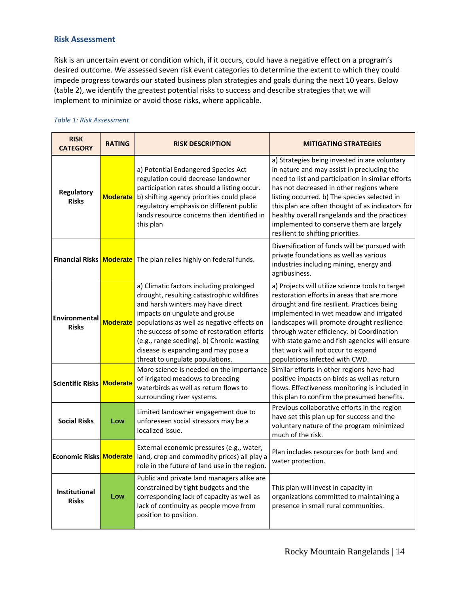#### **Risk Assessment**

Risk is an uncertain event or condition which, if it occurs, could have a negative effect on a program's desired outcome. We assessed seven risk event categories to determine the extent to which they could impede progress towards our stated business plan strategies and goals during the next 10 years. Below (table 2), we identify the greatest potential risks to success and describe strategies that we will implement to minimize or avoid those risks, where applicable.

#### *Table 1: Risk Assessment*

| <b>RISK</b><br><b>CATEGORY</b> | <b>RATING</b>   | <b>RISK DESCRIPTION</b>                                                                                                                                                                                                                                                                                                                                                        | <b>MITIGATING STRATEGIES</b>                                                                                                                                                                                                                                                                                                                                                                                                      |  |
|--------------------------------|-----------------|--------------------------------------------------------------------------------------------------------------------------------------------------------------------------------------------------------------------------------------------------------------------------------------------------------------------------------------------------------------------------------|-----------------------------------------------------------------------------------------------------------------------------------------------------------------------------------------------------------------------------------------------------------------------------------------------------------------------------------------------------------------------------------------------------------------------------------|--|
| Regulatory<br><b>Risks</b>     | <b>Moderate</b> | a) Potential Endangered Species Act<br>regulation could decrease landowner<br>participation rates should a listing occur.<br>b) shifting agency priorities could place<br>regulatory emphasis on different public<br>lands resource concerns then identified in<br>this plan                                                                                                   | a) Strategies being invested in are voluntary<br>in nature and may assist in precluding the<br>need to list and participation in similar efforts<br>has not decreased in other regions where<br>listing occurred. b) The species selected in<br>this plan are often thought of as indicators for<br>healthy overall rangelands and the practices<br>implemented to conserve them are largely<br>resilient to shifting priorities. |  |
|                                |                 | Financial Risks   Moderate   The plan relies highly on federal funds.                                                                                                                                                                                                                                                                                                          | Diversification of funds will be pursued with<br>private foundations as well as various<br>industries including mining, energy and<br>agribusiness.                                                                                                                                                                                                                                                                               |  |
| Environmental<br><b>Risks</b>  | <b>Moderate</b> | a) Climatic factors including prolonged<br>drought, resulting catastrophic wildfires<br>and harsh winters may have direct<br>impacts on ungulate and grouse<br>populations as well as negative effects on<br>the success of some of restoration efforts<br>(e.g., range seeding). b) Chronic wasting<br>disease is expanding and may pose a<br>threat to ungulate populations. | a) Projects will utilize science tools to target<br>restoration efforts in areas that are more<br>drought and fire resilient. Practices being<br>implemented in wet meadow and irrigated<br>landscapes will promote drought resilience<br>through water efficiency. b) Coordination<br>with state game and fish agencies will ensure<br>that work will not occur to expand<br>populations infected with CWD.                      |  |
| <b>Scientific Risks</b>        | <b>Moderate</b> | More science is needed on the importance<br>of irrigated meadows to breeding<br>waterbirds as well as return flows to<br>surrounding river systems.                                                                                                                                                                                                                            | Similar efforts in other regions have had<br>positive impacts on birds as well as return<br>flows. Effectiveness monitoring is included in<br>this plan to confirm the presumed benefits.                                                                                                                                                                                                                                         |  |
| <b>Social Risks</b>            | Low             | Limited landowner engagement due to<br>unforeseen social stressors may be a<br>localized issue.                                                                                                                                                                                                                                                                                | Previous collaborative efforts in the region<br>have set this plan up for success and the<br>voluntary nature of the program minimized<br>much of the risk.                                                                                                                                                                                                                                                                       |  |
| <b>Economic Risks Moderate</b> |                 | External economic pressures (e.g., water,<br>land, crop and commodity prices) all play a<br>role in the future of land use in the region.                                                                                                                                                                                                                                      | Plan includes resources for both land and<br>water protection.                                                                                                                                                                                                                                                                                                                                                                    |  |
| Institutional<br><b>Risks</b>  | Low             | Public and private land managers alike are<br>constrained by tight budgets and the<br>corresponding lack of capacity as well as<br>lack of continuity as people move from<br>position to position.                                                                                                                                                                             | This plan will invest in capacity in<br>organizations committed to maintaining a<br>presence in small rural communities.                                                                                                                                                                                                                                                                                                          |  |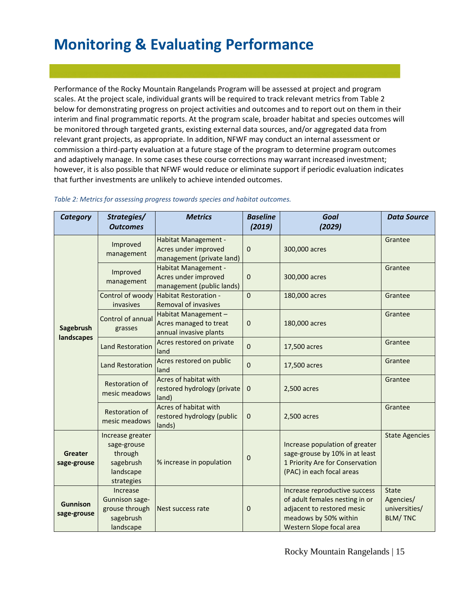# **Monitoring & Evaluating Performance**

Performance of the Rocky Mountain Rangelands Program will be assessed at project and program scales. At the project scale, individual grants will be required to track relevant metrics from Table 2 below for demonstrating progress on project activities and outcomes and to report out on them in their interim and final programmatic reports. At the program scale, broader habitat and species outcomes will be monitored through targeted grants, existing external data sources, and/or aggregated data from relevant grant projects, as appropriate. In addition, NFWF may conduct an internal assessment or commission a third-party evaluation at a future stage of the program to determine program outcomes and adaptively manage. In some cases these course corrections may warrant increased investment; however, it is also possible that NFWF would reduce or eliminate support if periodic evaluation indicates that further investments are unlikely to achieve intended outcomes.

| <b>Category</b>                | Strategies/                                                                        | <b>Metrics</b>                                                                   | <b>Baseline</b> | Goal                                                                                                                                               | <b>Data Source</b>                                           |
|--------------------------------|------------------------------------------------------------------------------------|----------------------------------------------------------------------------------|-----------------|----------------------------------------------------------------------------------------------------------------------------------------------------|--------------------------------------------------------------|
|                                | <b>Outcomes</b>                                                                    |                                                                                  | (2019)          | (2029)                                                                                                                                             |                                                              |
| Sagebrush<br>landscapes        | Improved<br>management                                                             | Habitat Management -<br>Acres under improved<br>management (private land)        | $\mathbf 0$     | 300,000 acres                                                                                                                                      | Grantee                                                      |
|                                | Improved<br>management                                                             | <b>Habitat Management -</b><br>Acres under improved<br>management (public lands) | $\mathbf 0$     | 300,000 acres                                                                                                                                      | Grantee                                                      |
|                                | invasives                                                                          | Control of woody Habitat Restoration -<br><b>Removal of invasives</b>            | $\mathbf{0}$    | 180,000 acres                                                                                                                                      | Grantee                                                      |
|                                | Control of annual<br>grasses                                                       | Habitat Management -<br>Acres managed to treat<br>annual invasive plants         | 0               | 180,000 acres                                                                                                                                      | Grantee                                                      |
|                                | <b>Land Restoration</b>                                                            | Acres restored on private<br>land                                                | $\mathbf 0$     | 17,500 acres                                                                                                                                       | Grantee                                                      |
|                                | <b>Land Restoration</b>                                                            | Acres restored on public<br>land                                                 | $\mathbf{0}$    | 17,500 acres                                                                                                                                       | Grantee                                                      |
|                                | <b>Restoration of</b><br>mesic meadows                                             | Acres of habitat with<br>restored hydrology (private<br>land)                    | $\mathbf 0$     | 2,500 acres                                                                                                                                        | Grantee                                                      |
|                                | <b>Restoration of</b><br>mesic meadows                                             | Acres of habitat with<br>restored hydrology (public<br>lands)                    | $\mathbf 0$     | 2,500 acres                                                                                                                                        | Grantee                                                      |
| <b>Greater</b><br>sage-grouse  | Increase greater<br>sage-grouse<br>through<br>sagebrush<br>landscape<br>strategies | % increase in population                                                         | 0               | Increase population of greater<br>sage-grouse by 10% in at least<br>1 Priority Are for Conservation<br>(PAC) in each focal areas                   | <b>State Agencies</b>                                        |
| <b>Gunnison</b><br>sage-grouse | Increase<br><b>Gunnison sage-</b><br>grouse through<br>sagebrush<br>landscape      | Nest success rate                                                                | 0               | Increase reproductive success<br>of adult females nesting in or<br>adjacent to restored mesic<br>meadows by 50% within<br>Western Slope focal area | <b>State</b><br>Agencies/<br>universities/<br><b>BLM/TNC</b> |

#### *Table 2: Metrics for assessing progress towards species and habitat outcomes.*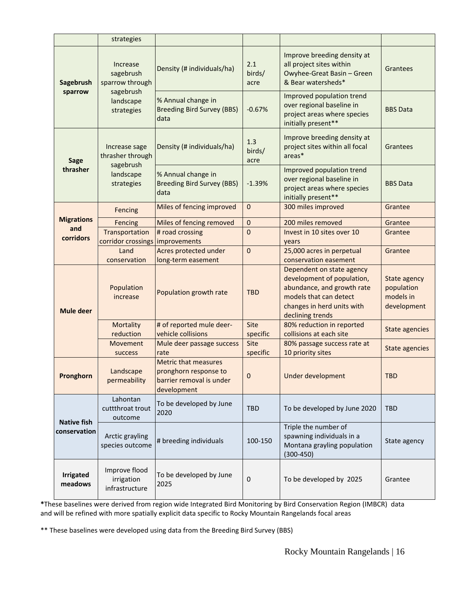|                                    | strategies                                                                       |                                                                                                 |                         |                                                                                                                                                                   |                                                        |
|------------------------------------|----------------------------------------------------------------------------------|-------------------------------------------------------------------------------------------------|-------------------------|-------------------------------------------------------------------------------------------------------------------------------------------------------------------|--------------------------------------------------------|
| Sagebrush<br>sparrow               | Increase<br>sagebrush<br>sparrow through<br>sagebrush<br>landscape<br>strategies | Density (# individuals/ha)                                                                      | 2.1<br>birds/<br>acre   | Improve breeding density at<br>all project sites within<br>Owyhee-Great Basin - Green<br>& Bear watersheds*                                                       | Grantees                                               |
|                                    |                                                                                  | % Annual change in<br><b>Breeding Bird Survey (BBS)</b><br>data                                 | $-0.67%$                | Improved population trend<br>over regional baseline in<br>project areas where species<br>initially present**                                                      | <b>BBS Data</b>                                        |
| <b>Sage</b><br>thrasher            | Increase sage<br>thrasher through<br>sagebrush<br>landscape<br>strategies        | Density (# individuals/ha)                                                                      | 1.3<br>birds/<br>acre   | Improve breeding density at<br>project sites within all focal<br>areas*                                                                                           | Grantees                                               |
|                                    |                                                                                  | % Annual change in<br><b>Breeding Bird Survey (BBS)</b><br>data                                 | $-1.39%$                | Improved population trend<br>over regional baseline in<br>project areas where species<br>initially present**                                                      | <b>BBS Data</b>                                        |
|                                    | Fencing                                                                          | Miles of fencing improved                                                                       | $\mathbf{0}$            | 300 miles improved                                                                                                                                                | Grantee                                                |
| <b>Migrations</b>                  | Fencing                                                                          | Miles of fencing removed                                                                        | 0                       | 200 miles removed                                                                                                                                                 | Grantee                                                |
| and<br>corridors                   | Transportation<br>corridor crossings improvements                                | # road crossing                                                                                 | 0                       | Invest in 10 sites over 10<br>years                                                                                                                               | Grantee                                                |
|                                    | Land                                                                             | Acres protected under                                                                           | $\mathbf 0$             | 25,000 acres in perpetual                                                                                                                                         | Grantee                                                |
|                                    | conservation                                                                     | long-term easement                                                                              |                         | conservation easement                                                                                                                                             |                                                        |
| <b>Mule deer</b>                   | Population<br>increase                                                           | Population growth rate                                                                          | <b>TBD</b>              | Dependent on state agency<br>development of population,<br>abundance, and growth rate<br>models that can detect<br>changes in herd units with<br>declining trends | State agency<br>population<br>models in<br>development |
|                                    | Mortality<br>reduction                                                           | # of reported mule deer-<br>vehicle collisions                                                  | Site<br>specific        | 80% reduction in reported<br>collisions at each site                                                                                                              | <b>State agencies</b>                                  |
|                                    | <b>Movement</b><br>success                                                       | Mule deer passage success<br>rate                                                               | <b>Site</b><br>specific | 80% passage success rate at<br>10 priority sites                                                                                                                  | <b>State agencies</b>                                  |
| Pronghorn                          | Landscape<br>permeability                                                        | <b>Metric that measures</b><br>pronghorn response to<br>barrier removal is under<br>development | 0                       | Under development                                                                                                                                                 | <b>TBD</b>                                             |
| <b>Native fish</b><br>conservation | Lahontan<br>cuttthroat trout<br>outcome                                          | To be developed by June<br>2020                                                                 | <b>TBD</b>              | To be developed by June 2020                                                                                                                                      | <b>TBD</b>                                             |
|                                    | Arctic grayling<br>species outcome                                               | # breeding individuals                                                                          | 100-150                 | Triple the number of<br>spawning individuals in a<br>Montana grayling population<br>$(300-450)$                                                                   | State agency                                           |
| <b>Irrigated</b><br>meadows        | Improve flood<br>irrigation<br>infrastructure                                    | To be developed by June<br>2025                                                                 | 0                       | To be developed by 2025                                                                                                                                           | Grantee                                                |

**\***These baselines were derived from region wide Integrated Bird Monitoring by Bird Conservation Region (IMBCR) data and will be refined with more spatially explicit data specific to Rocky Mountain Rangelands focal areas

\*\* These baselines were developed using data from the Breeding Bird Survey (BBS)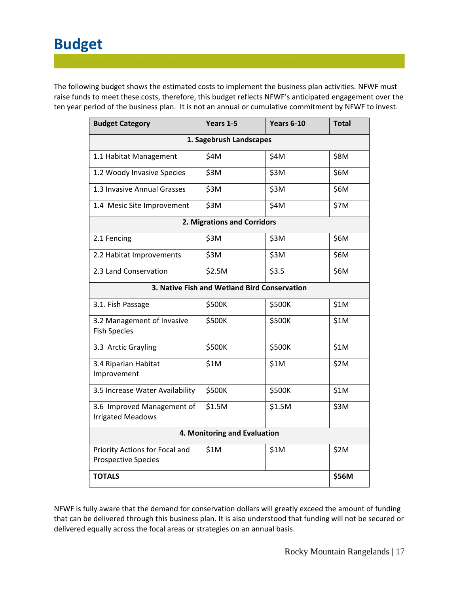# **Budget**

The following budget shows the estimated costs to implement the business plan activities. NFWF must raise funds to meet these costs, therefore, this budget reflects NFWF's anticipated engagement over the ten year period of the business plan. It is not an annual or cumulative commitment by NFWF to invest.

| <b>Budget Category</b>                                       | Years 1-5        | <b>Years 6-10</b> | <b>Total</b> |  |  |  |
|--------------------------------------------------------------|------------------|-------------------|--------------|--|--|--|
| 1. Sagebrush Landscapes                                      |                  |                   |              |  |  |  |
| 1.1 Habitat Management                                       | \$4M             | \$4M              | \$8M         |  |  |  |
| 1.2 Woody Invasive Species                                   | \$3M             | \$3M              | \$6M         |  |  |  |
| 1.3 Invasive Annual Grasses                                  | \$3M             | \$3M              | \$6M         |  |  |  |
| 1.4 Mesic Site Improvement                                   | \$3M             | \$4M              | \$7M         |  |  |  |
| 2. Migrations and Corridors                                  |                  |                   |              |  |  |  |
| 2.1 Fencing                                                  | \$3M             | \$3M              | \$6M         |  |  |  |
| 2.2 Habitat Improvements                                     | \$3M             | \$3M              | \$6M         |  |  |  |
| 2.3 Land Conservation                                        | \$2.5M           | \$3.5             | \$6M         |  |  |  |
| 3. Native Fish and Wetland Bird Conservation                 |                  |                   |              |  |  |  |
| 3.1. Fish Passage                                            | \$500K           | \$500K            | \$1M         |  |  |  |
| 3.2 Management of Invasive<br><b>Fish Species</b>            | \$500K           | \$500K            | \$1M         |  |  |  |
| 3.3 Arctic Grayling                                          | \$500K           | \$500K            | \$1M         |  |  |  |
| 3.4 Riparian Habitat<br>Improvement                          | \$1M             | \$1M              | \$2M         |  |  |  |
| 3.5 Increase Water Availability                              | \$500K           | \$500K            | \$1M         |  |  |  |
| 3.6 Improved Management of<br><b>Irrigated Meadows</b>       | \$1.5M<br>\$1.5M |                   | \$3M         |  |  |  |
| 4. Monitoring and Evaluation                                 |                  |                   |              |  |  |  |
| Priority Actions for Focal and<br><b>Prospective Species</b> | \$1M             | \$1M              | \$2M         |  |  |  |
| <b>TOTALS</b>                                                |                  |                   | \$56M        |  |  |  |

NFWF is fully aware that the demand for conservation dollars will greatly exceed the amount of funding that can be delivered through this business plan. It is also understood that funding will not be secured or delivered equally across the focal areas or strategies on an annual basis.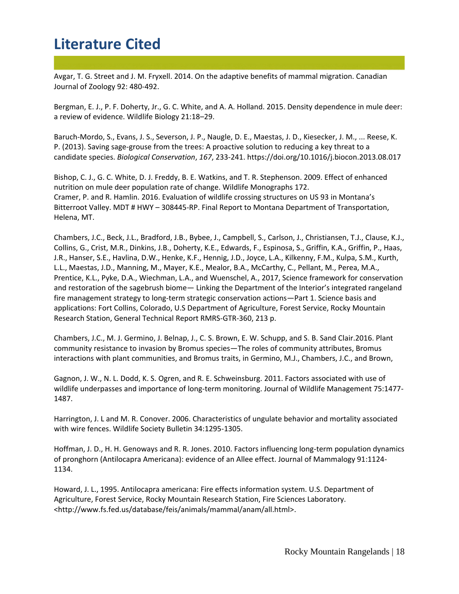### **Literature Cited**

Avgar, T. G. Street and J. M. Fryxell. 2014. On the adaptive benefits of mammal migration. Canadian Journal of Zoology 92: 480-492.

Bergman, E. J., P. F. Doherty, Jr., G. C. White, and A. A. Holland. 2015. Density dependence in mule deer: a review of evidence. Wildlife Biology 21:18–29.

Baruch-Mordo, S., Evans, J. S., Severson, J. P., Naugle, D. E., Maestas, J. D., Kiesecker, J. M., ... Reese, K. P. (2013). Saving sage-grouse from the trees: A proactive solution to reducing a key threat to a candidate species. *Biological Conservation*, *167*, 233-241. https://doi.org/10.1016/j.biocon.2013.08.017

Bishop, C. J., G. C. White, D. J. Freddy, B. E. Watkins, and T. R. Stephenson. 2009. Effect of enhanced nutrition on mule deer population rate of change. Wildlife Monographs 172. Cramer, P. and R. Hamlin. 2016. Evaluation of wildlife crossing structures on US 93 in Montana's Bitterroot Valley. MDT # HWY – 308445-RP. Final Report to Montana Department of Transportation, Helena, MT.

Chambers, J.C., Beck, J.L., Bradford, J.B., Bybee, J., Campbell, S., Carlson, J., Christiansen, T.J., Clause, K.J., Collins, G., Crist, M.R., Dinkins, J.B., Doherty, K.E., Edwards, F., Espinosa, S., Griffin, K.A., Griffin, P., Haas, J.R., Hanser, S.E., Havlina, D.W., Henke, K.F., Hennig, J.D., Joyce, L.A., Kilkenny, F.M., Kulpa, S.M., Kurth, L.L., Maestas, J.D., Manning, M., Mayer, K.E., Mealor, B.A., McCarthy, C., Pellant, M., Perea, M.A., Prentice, K.L., Pyke, D.A., Wiechman, L.A., and Wuenschel, A., 2017, Science framework for conservation and restoration of the sagebrush biome— Linking the Department of the Interior's integrated rangeland fire management strategy to long-term strategic conservation actions—Part 1. Science basis and applications: Fort Collins, Colorado, U.S Department of Agriculture, Forest Service, Rocky Mountain Research Station, General Technical Report RMRS-GTR-360, 213 p.

Chambers, J.C., M. J. Germino, J. Belnap, J., C. S. Brown, E. W. Schupp, and S. B. Sand Clair.2016. Plant community resistance to invasion by Bromus species—The roles of community attributes, Bromus interactions with plant communities, and Bromus traits, in Germino, M.J., Chambers, J.C., and Brown,

Gagnon, J. W., N. L. Dodd, K. S. Ogren, and R. E. Schweinsburg. 2011. Factors associated with use of wildlife underpasses and importance of long-term monitoring. Journal of Wildlife Management 75:1477- 1487.

Harrington, J. L and M. R. Conover. 2006. Characteristics of ungulate behavior and mortality associated with wire fences. Wildlife Society Bulletin 34:1295-1305.

Hoffman, J. D., H. H. Genoways and R. R. Jones. 2010. Factors influencing long-term population dynamics of pronghorn (Antilocapra Americana): evidence of an Allee effect. Journal of Mammalogy 91:1124- 1134.

Howard, J. L., 1995. Antilocapra americana: Fire effects information system. U.S. Department of Agriculture, Forest Service, Rocky Mountain Research Station, Fire Sciences Laboratory. <http://www.fs.fed.us/database/feis/animals/mammal/anam/all.html>.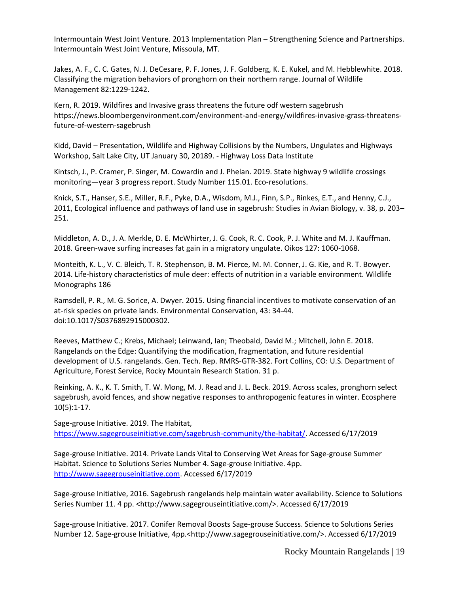Intermountain West Joint Venture. 2013 Implementation Plan – Strengthening Science and Partnerships. Intermountain West Joint Venture, Missoula, MT.

Jakes, A. F., C. C. Gates, N. J. DeCesare, P. F. Jones, J. F. Goldberg, K. E. Kukel, and M. Hebblewhite. 2018. Classifying the migration behaviors of pronghorn on their northern range. Journal of Wildlife Management 82:1229-1242.

Kern, R. 2019. Wildfires and Invasive grass threatens the future odf western sagebrush https://news.bloombergenvironment.com/environment-and-energy/wildfires-invasive-grass-threatensfuture-of-western-sagebrush

Kidd, David – Presentation, Wildlife and Highway Collisions by the Numbers, Ungulates and Highways Workshop, Salt Lake City, UT January 30, 20189. - Highway Loss Data Institute

Kintsch, J., P. Cramer, P. Singer, M. Cowardin and J. Phelan. 2019. State highway 9 wildlife crossings monitoring—year 3 progress report. Study Number 115.01. Eco-resolutions.

Knick, S.T., Hanser, S.E., Miller, R.F., Pyke, D.A., Wisdom, M.J., Finn, S.P., Rinkes, E.T., and Henny, C.J., 2011, Ecological influence and pathways of land use in sagebrush: Studies in Avian Biology, v. 38, p. 203– 251.

Middleton, A. D., J. A. Merkle, D. E. McWhirter, J. G. Cook, R. C. Cook, P. J. White and M. J. Kauffman. 2018. Green-wave surfing increases fat gain in a migratory ungulate. Oikos 127: 1060-1068.

Monteith, K. L., V. C. Bleich, T. R. Stephenson, B. M. Pierce, M. M. Conner, J. G. Kie, and R. T. Bowyer. 2014. Life-history characteristics of mule deer: effects of nutrition in a variable environment. Wildlife Monographs 186

Ramsdell, P. R., M. G. Sorice, A. Dwyer. 2015. Using financial incentives to motivate conservation of an at-risk species on private lands. Environmental Conservation, 43: 34-44. doi:10.1017/S0376892915000302.

Reeves, Matthew C.; Krebs, Michael; Leinwand, Ian; Theobald, David M.; Mitchell, John E. 2018. Rangelands on the Edge: Quantifying the modification, fragmentation, and future residential development of U.S. rangelands. Gen. Tech. Rep. RMRS-GTR-382. Fort Collins, CO: U.S. Department of Agriculture, Forest Service, Rocky Mountain Research Station. 31 p.

Reinking, A. K., K. T. Smith, T. W. Mong, M. J. Read and J. L. Beck. 2019. Across scales, pronghorn select sagebrush, avoid fences, and show negative responses to anthropogenic features in winter. Ecosphere 10(5):1-17.

Sage-grouse Initiative. 2019. The Habitat, [https://www.sagegrouseinitiative.com/sagebrush-community/the-habitat/.](https://www.sagegrouseinitiative.com/sagebrush-community/the-habitat/) Accessed 6/17/2019

Sage-grouse Initiative. 2014. Private Lands Vital to Conserving Wet Areas for Sage-grouse Summer Habitat. Science to Solutions Series Number 4. Sage-grouse Initiative. 4pp. [http://www.sagegrouseinitiative.com.](http://www.sagegrouseinitiative.com/) Accessed 6/17/2019

Sage-grouse Initiative, 2016. Sagebrush rangelands help maintain water availability. Science to Solutions Series Number 11. 4 pp. <http://www.sagegrouseintitiative.com/>. Accessed 6/17/2019

Sage-grouse Initiative. 2017. Conifer Removal Boosts Sage-grouse Success. Science to Solutions Series Number 12. Sage-grouse Initiative, 4pp.<http://www.sagegrouseinitiative.com/>. Accessed 6/17/2019